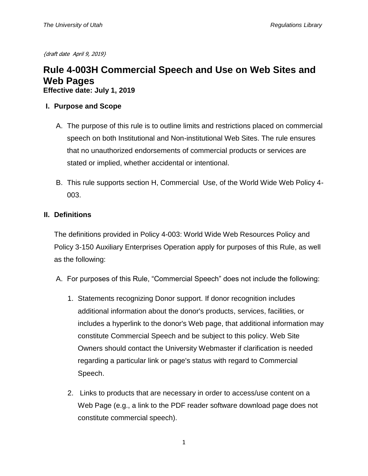{draft date April 9, 2019}

# **Rule 4-003H Commercial Speech and Use on Web Sites and Web Pages**

**Effective date: July 1, 2019**

#### **I. Purpose and Scope**

- A. The purpose of this rule is to outline limits and restrictions placed on commercial speech on both Institutional and Non-institutional Web Sites. The rule ensures that no unauthorized endorsements of commercial products or services are stated or implied, whether accidental or intentional.
- B. This rule supports section H, Commercial Use, of the World Wide Web Policy 4- 003.

## **II. Definitions**

The definitions provided in Policy 4-003: World Wide Web Resources Policy and Policy 3-150 Auxiliary Enterprises Operation apply for purposes of this Rule, as well as the following:

- A. For purposes of this Rule, "Commercial Speech" does not include the following:
	- 1. Statements recognizing Donor support. If donor recognition includes additional information about the donor's products, services, facilities, or includes a hyperlink to the donor's Web page, that additional information may constitute Commercial Speech and be subject to this policy. Web Site Owners should contact the University Webmaster if clarification is needed regarding a particular link or page's status with regard to Commercial Speech.
	- 2. Links to products that are necessary in order to access/use content on a Web Page (e.g., a link to the PDF reader software download page does not constitute commercial speech).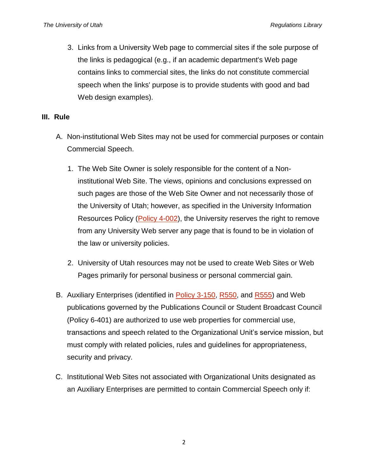3. Links from a University Web page to commercial sites if the sole purpose of the links is pedagogical (e.g., if an academic department's Web page contains links to commercial sites, the links do not constitute commercial speech when the links' purpose is to provide students with good and bad Web design examples).

#### **III. Rule**

- A. Non-institutional Web Sites may not be used for commercial purposes or contain Commercial Speech.
	- 1. The Web Site Owner is solely responsible for the content of a Noninstitutional Web Site. The views, opinions and conclusions expressed on such pages are those of the Web Site Owner and not necessarily those of the University of Utah; however, as specified in the University Information Resources Policy [\(Policy 4-002\)](https://regulations.utah.edu/it/4-002.php), the University reserves the right to remove from any University Web server any page that is found to be in violation of the law or university policies.
	- 2. University of Utah resources may not be used to create Web Sites or Web Pages primarily for personal business or personal commercial gain.
- B. Auxiliary Enterprises (identified in [Policy 3-150,](https://regulations.utah.edu/administration/3-150.php) [R550,](https://higheredutah.org/policies/r550-auxiliary-enterprises-operation-and-accountability/) and [R555\)](https://higheredutah.org/policies/r555-providing-facilities-goods-and-services-in-competition-with-private-enterprise/) and Web publications governed by the Publications Council or Student Broadcast Council (Policy 6-401) are authorized to use web properties for commercial use, transactions and speech related to the Organizational Unit's service mission, but must comply with related policies, rules and guidelines for appropriateness, security and privacy.
- C. Institutional Web Sites not associated with Organizational Units designated as an Auxiliary Enterprises are permitted to contain Commercial Speech only if: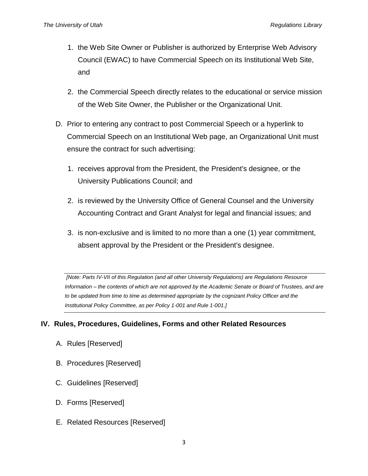- 1. the Web Site Owner or Publisher is authorized by Enterprise Web Advisory Council (EWAC) to have Commercial Speech on its Institutional Web Site, and
- 2. the Commercial Speech directly relates to the educational or service mission of the Web Site Owner, the Publisher or the Organizational Unit.
- D. Prior to entering any contract to post Commercial Speech or a hyperlink to Commercial Speech on an Institutional Web page, an Organizational Unit must ensure the contract for such advertising:
	- 1. receives approval from the President, the President's designee, or the University Publications Council; and
	- 2. is reviewed by the University Office of General Counsel and the University Accounting Contract and Grant Analyst for legal and financial issues; and
	- 3. is non-exclusive and is limited to no more than a one (1) year commitment, absent approval by the President or the President's designee.

*[Note: Parts IV-VII of this Regulation (and all other University Regulations) are Regulations Resource Information – the contents of which are not approved by the Academic Senate or Board of Trustees, and are to be updated from time to time as determined appropriate by the cognizant Policy Officer and the Institutional Policy Committee, as per Policy 1-001 and Rule 1-001.]*

## **IV. Rules, Procedures, Guidelines, Forms and other Related Resources**

- A. Rules [Reserved]
- B. Procedures [Reserved]
- C. Guidelines [Reserved]
- D. Forms [Reserved]
- E. Related Resources [Reserved]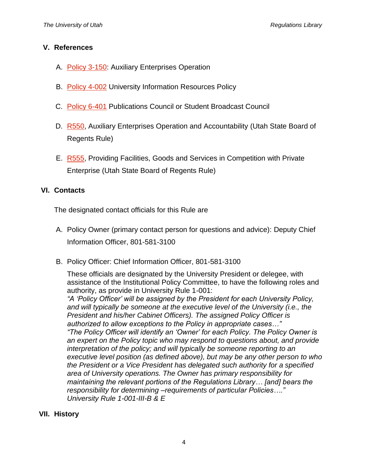#### **V. References**

- A. [Policy 3-150:](https://regulations.utah.edu/administration/3-150.php) Auxiliary Enterprises Operation
- B. [Policy 4-002](https://regulations.utah.edu/it/4-002.php) University Information Resources Policy
- C. [Policy 6-401](https://regulations.utah.edu/academics/6-401.php) Publications Council or Student Broadcast Council
- D. [R550,](https://higheredutah.org/policies/r550-auxiliary-enterprises-operation-and-accountability/) Auxiliary Enterprises Operation and Accountability (Utah State Board of Regents Rule)
- E. [R555,](https://higheredutah.org/policies/r555-providing-facilities-goods-and-services-in-competition-with-private-enterprise/) Providing Facilities, Goods and Services in Competition with Private Enterprise (Utah State Board of Regents Rule)

## **VI. Contacts**

The designated contact officials for this Rule are

- A. Policy Owner (primary contact person for questions and advice): Deputy Chief Information Officer, 801-581-3100
- B. Policy Officer: Chief Information Officer, 801-581-3100

These officials are designated by the University President or delegee, with assistance of the Institutional Policy Committee, to have the following roles and authority, as provide in University Rule 1-001:

*"A 'Policy Officer' will be assigned by the President for each University Policy, and will typically be someone at the executive level of the University (i.e., the President and his/her Cabinet Officers). The assigned Policy Officer is authorized to allow exceptions to the Policy in appropriate cases…" "The Policy Officer will identify an 'Owner' for each Policy. The Policy Owner is an expert on the Policy topic who may respond to questions about, and provide interpretation of the policy; and will typically be someone reporting to an executive level position (as defined above), but may be any other person to who the President or a Vice President has delegated such authority for a specified area of University operations. The Owner has primary responsibility for maintaining the relevant portions of the Regulations Library… [and] bears the responsibility for determining –requirements of particular Policies…." University Rule 1-001-III-B & E*

#### **VII. History**